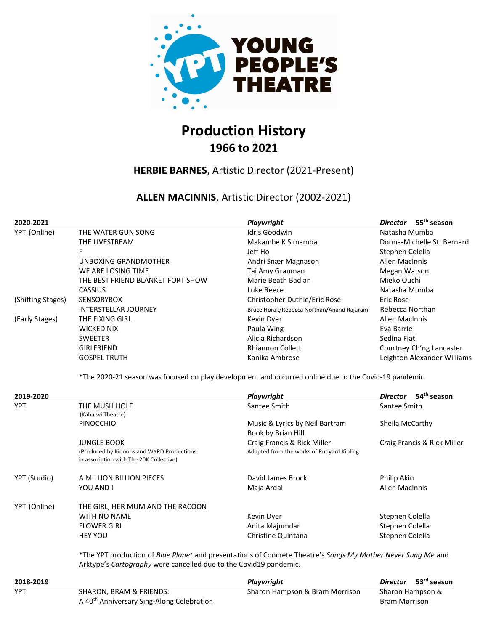

# Production History 1966 to 2021

#### HERBIE BARNES, Artistic Director (2021-Present)

#### ALLEN MACINNIS, Artistic Director (2002-2021)

| 2020-2021         |                                                                                                                                                                                   | <b>Playwright</b>                         | Director 55 <sup>th</sup> season           |
|-------------------|-----------------------------------------------------------------------------------------------------------------------------------------------------------------------------------|-------------------------------------------|--------------------------------------------|
| YPT (Online)      | THE WATER GUN SONG                                                                                                                                                                | Idris Goodwin                             | Natasha Mumba                              |
|                   | THE LIVESTREAM                                                                                                                                                                    | Makambe K Simamba                         | Donna-Michelle St. Bernard                 |
|                   | F                                                                                                                                                                                 | Jeff Ho                                   | Stephen Colella                            |
|                   | UNBOXING GRANDMOTHER                                                                                                                                                              | Andri Snær Magnason                       | Allen MacInnis                             |
|                   | WE ARE LOSING TIME                                                                                                                                                                | Tai Amy Grauman                           | Megan Watson                               |
|                   | THE BEST FRIEND BLANKET FORT SHOW                                                                                                                                                 | Marie Beath Badian                        | Mieko Ouchi                                |
|                   | CASSIUS                                                                                                                                                                           | Luke Reece                                | Natasha Mumba                              |
| (Shifting Stages) | SENSORYBOX                                                                                                                                                                        | Christopher Duthie/Eric Rose              | <b>Eric Rose</b>                           |
|                   | <b>INTERSTELLAR JOURNEY</b>                                                                                                                                                       | Bruce Horak/Rebecca Northan/Anand Rajaram | Rebecca Northan                            |
| (Early Stages)    | THE FIXING GIRL                                                                                                                                                                   | Kevin Dyer                                | Allen MacInnis                             |
|                   | WICKED NIX                                                                                                                                                                        | Paula Wing                                | Eva Barrie                                 |
|                   | <b>SWEETER</b>                                                                                                                                                                    | Alicia Richardson                         | Sedina Fiati                               |
|                   | <b>GIRLFRIEND</b>                                                                                                                                                                 | <b>Rhiannon Collett</b>                   | Courtney Ch'ng Lancaster                   |
|                   | <b>GOSPEL TRUTH</b>                                                                                                                                                               | Kanika Ambrose                            | Leighton Alexander Williams                |
|                   | *The 2020-21 season was focused on play development and occurred online due to the Covid-19 pandemic.                                                                             |                                           |                                            |
| 2019-2020         |                                                                                                                                                                                   | Playwright                                | 54 <sup>th</sup> season<br><b>Director</b> |
| YPT               | THE MUSH HOLE                                                                                                                                                                     | Santee Smith                              | Santee Smith                               |
|                   | (Kaha:wi Theatre)                                                                                                                                                                 |                                           |                                            |
|                   | <b>PINOCCHIO</b>                                                                                                                                                                  | Music & Lyrics by Neil Bartram            | Sheila McCarthy                            |
|                   |                                                                                                                                                                                   | Book by Brian Hill                        |                                            |
|                   | <b>JUNGLE BOOK</b>                                                                                                                                                                | Craig Francis & Rick Miller               | Craig Francis & Rick Miller                |
|                   | (Produced by Kidoons and WYRD Productions<br>in association with The 20K Collective)                                                                                              | Adapted from the works of Rudyard Kipling |                                            |
| YPT (Studio)      | A MILLION BILLION PIECES                                                                                                                                                          | David James Brock                         | Philip Akin                                |
|                   | YOU AND I                                                                                                                                                                         | Maja Ardal                                | Allen MacInnis                             |
| YPT (Online)      | THE GIRL, HER MUM AND THE RACOON                                                                                                                                                  |                                           |                                            |
|                   | <b>WITH NO NAME</b>                                                                                                                                                               | Kevin Dyer                                | Stephen Colella                            |
|                   | <b>FLOWER GIRL</b>                                                                                                                                                                | Anita Majumdar                            | Stephen Colella                            |
|                   | <b>HEY YOU</b>                                                                                                                                                                    | Christine Quintana                        | Stephen Colella                            |
|                   | *The YPT production of Blue Planet and presentations of Concrete Theatre's Songs My Mother Never Sung Me and<br>Arktype's Cartography were cancelled due to the Covid19 pandemic. |                                           |                                            |
| 2018-2019         |                                                                                                                                                                                   | Playwright                                | 53rd season<br>Director                    |
| <b>YPT</b>        | <b>SHARON, BRAM &amp; FRIENDS:</b>                                                                                                                                                | Sharon Hampson & Bram Morrison            | Sharon Hampson &                           |
|                   | A 40 <sup>th</sup> Anniversary Sing-Along Celebration                                                                                                                             |                                           | <b>Bram Morrison</b>                       |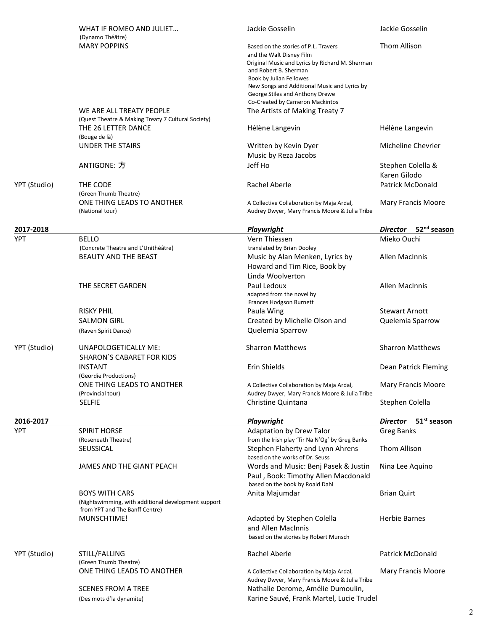|              |                                                                                                                | Jackie Gosselin                                                                                                                               | Jackie Gosselin                            |
|--------------|----------------------------------------------------------------------------------------------------------------|-----------------------------------------------------------------------------------------------------------------------------------------------|--------------------------------------------|
|              | WHAT IF ROMEO AND JULIET<br>(Dynamo Théâtre)                                                                   |                                                                                                                                               |                                            |
|              | <b>MARY POPPINS</b>                                                                                            | Based on the stories of P.L. Travers<br>and the Walt Disney Film<br>Original Music and Lyrics by Richard M. Sherman<br>and Robert B. Sherman  | Thom Allison                               |
|              |                                                                                                                | Book by Julian Fellowes<br>New Songs and Additional Music and Lyrics by<br>George Stiles and Anthony Drewe<br>Co-Created by Cameron Mackintos |                                            |
|              | WE ARE ALL TREATY PEOPLE<br>(Quest Theatre & Making Treaty 7 Cultural Society)                                 | The Artists of Making Treaty 7                                                                                                                |                                            |
|              | THE 26 LETTER DANCE<br>(Bouge de là)                                                                           | Hélène Langevin                                                                                                                               | Hélène Langevin                            |
|              | UNDER THE STAIRS                                                                                               | Written by Kevin Dyer<br>Music by Reza Jacobs                                                                                                 | Micheline Chevrier                         |
|              | ANTIGONE: 方                                                                                                    | Jeff Ho                                                                                                                                       | Stephen Colella &<br>Karen Gilodo          |
| YPT (Studio) | THE CODE<br>(Green Thumb Theatre)                                                                              | Rachel Aberle                                                                                                                                 | <b>Patrick McDonald</b>                    |
|              | ONE THING LEADS TO ANOTHER<br>(National tour)                                                                  | A Collective Collaboration by Maja Ardal,<br>Audrey Dwyer, Mary Francis Moore & Julia Tribe                                                   | Mary Francis Moore                         |
| 2017-2018    |                                                                                                                | Playwright                                                                                                                                    | 52 <sup>nd</sup> season<br><b>Director</b> |
| <b>YPT</b>   | <b>BELLO</b>                                                                                                   | Vern Thiessen                                                                                                                                 | Mieko Ouchi                                |
|              | (Concrete Theatre and L'Unithéâtre)<br><b>BEAUTY AND THE BEAST</b>                                             | translated by Brian Dooley<br>Music by Alan Menken, Lyrics by<br>Howard and Tim Rice, Book by<br>Linda Woolverton                             | <b>Allen MacInnis</b>                      |
|              | THE SECRET GARDEN                                                                                              | Paul Ledoux<br>adapted from the novel by<br>Frances Hodgson Burnett                                                                           | Allen MacInnis                             |
|              | <b>RISKY PHIL</b>                                                                                              | Paula Wing                                                                                                                                    | <b>Stewart Arnott</b>                      |
|              | <b>SALMON GIRL</b><br>(Raven Spirit Dance)                                                                     | Created by Michelle Olson and<br>Quelemia Sparrow                                                                                             | Quelemia Sparrow                           |
| YPT (Studio) | <b>UNAPOLOGETICALLY ME:</b><br><b>SHARON'S CABARET FOR KIDS</b>                                                | <b>Sharron Matthews</b>                                                                                                                       | <b>Sharron Matthews</b>                    |
|              | <b>INSTANT</b><br>(Geordie Productions)                                                                        | Erin Shields                                                                                                                                  | Dean Patrick Fleming                       |
|              | ONE THING LEADS TO ANOTHER<br>(Provincial tour)                                                                | A Collective Collaboration by Maja Ardal,<br>Audrey Dwyer, Mary Francis Moore & Julia Tribe                                                   | Mary Francis Moore                         |
|              | <b>SELFIE</b>                                                                                                  | Christine Quintana                                                                                                                            | Stephen Colella                            |
| 2016-2017    |                                                                                                                | Playwright                                                                                                                                    | 51 <sup>st</sup> season<br><b>Director</b> |
| YPT          | <b>SPIRIT HORSE</b>                                                                                            | <b>Adaptation by Drew Talor</b>                                                                                                               | <b>Greg Banks</b>                          |
|              | (Roseneath Theatre)<br><b>SEUSSICAL</b>                                                                        | from the Irish play 'Tir Na N'Og' by Greg Banks<br>Stephen Flaherty and Lynn Ahrens<br>based on the works of Dr. Seuss                        | Thom Allison                               |
|              | JAMES AND THE GIANT PEACH                                                                                      | Words and Music: Benj Pasek & Justin<br>Paul, Book: Timothy Allen Macdonald<br>based on the book by Roald Dahl                                | Nina Lee Aquino                            |
|              | <b>BOYS WITH CARS</b><br>(Nightswimming, with additional development support<br>from YPT and The Banff Centre) | Anita Majumdar                                                                                                                                | <b>Brian Quirt</b>                         |
|              | MUNSCHTIME!                                                                                                    | Adapted by Stephen Colella<br>and Allen MacInnis<br>based on the stories by Robert Munsch                                                     | <b>Herbie Barnes</b>                       |
| YPT (Studio) | STILL/FALLING<br>(Green Thumb Theatre)                                                                         | Rachel Aberle                                                                                                                                 | Patrick McDonald                           |
|              | ONE THING LEADS TO ANOTHER                                                                                     | A Collective Collaboration by Maja Ardal,<br>Audrey Dwyer, Mary Francis Moore & Julia Tribe                                                   | Mary Francis Moore                         |
|              | <b>SCENES FROM A TREE</b>                                                                                      | Nathalie Derome, Amélie Dumoulin,                                                                                                             |                                            |
|              | (Des mots d'la dynamite)                                                                                       | Karine Sauvé, Frank Martel, Lucie Trudel                                                                                                      |                                            |
|              |                                                                                                                |                                                                                                                                               |                                            |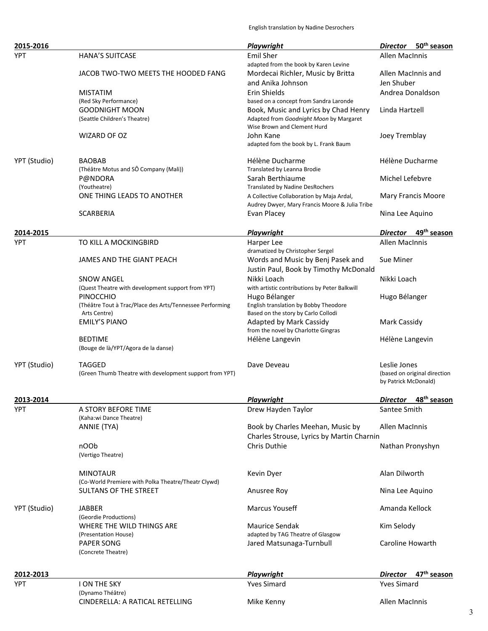English translation by Nadine Desrochers

|                                                                    |                                                                          | Playwright                                                                                  | 50 <sup>th</sup> season<br><b>Director</b> |
|--------------------------------------------------------------------|--------------------------------------------------------------------------|---------------------------------------------------------------------------------------------|--------------------------------------------|
| <b>YPT</b>                                                         | <b>HANA'S SUITCASE</b>                                                   | <b>Emil Sher</b><br>adapted from the book by Karen Levine                                   | Allen MacInnis                             |
|                                                                    | JACOB TWO-TWO MEETS THE HOODED FANG                                      | Mordecai Richler, Music by Britta                                                           | Allen MacInnis and                         |
|                                                                    |                                                                          | and Anika Johnson                                                                           | Jen Shuber                                 |
|                                                                    | <b>MISTATIM</b>                                                          | Erin Shields                                                                                | Andrea Donaldson                           |
|                                                                    | (Red Sky Performance)<br><b>GOODNIGHT MOON</b>                           | based on a concept from Sandra Laronde                                                      | Linda Hartzell                             |
|                                                                    | (Seattle Children's Theatre)                                             | Book, Music and Lyrics by Chad Henry<br>Adapted from Goodnight Moon by Margaret             |                                            |
|                                                                    |                                                                          | Wise Brown and Clement Hurd                                                                 |                                            |
|                                                                    | WIZARD OF OZ                                                             | John Kane<br>adapted fom the book by L. Frank Baum                                          | Joey Tremblay                              |
| YPT (Studio)                                                       | <b>BAOBAB</b>                                                            | Hélène Ducharme                                                                             | Hélène Ducharme                            |
|                                                                    | (Théâtre Motus and SÔ Company (Mali))                                    | Translated by Leanna Brodie                                                                 |                                            |
|                                                                    | P@NDORA                                                                  | Sarah Berthiaume                                                                            | Michel Lefebvre                            |
|                                                                    | (Youtheatre)                                                             | <b>Translated by Nadine DesRochers</b>                                                      |                                            |
|                                                                    | ONE THING LEADS TO ANOTHER                                               | A Collective Collaboration by Maja Ardal,<br>Audrey Dwyer, Mary Francis Moore & Julia Tribe | Mary Francis Moore                         |
|                                                                    | <b>SCARBERIA</b>                                                         | Evan Placey                                                                                 | Nina Lee Aquino                            |
| 2014-2015                                                          |                                                                          | Playwright                                                                                  | 49 <sup>th</sup> season<br><b>Director</b> |
| YPT                                                                | TO KILL A MOCKINGBIRD                                                    | Harper Lee                                                                                  | <b>Allen MacInnis</b>                      |
|                                                                    | JAMES AND THE GIANT PEACH                                                | dramatized by Christopher Sergel                                                            |                                            |
|                                                                    |                                                                          | Words and Music by Benj Pasek and                                                           | Sue Miner                                  |
|                                                                    |                                                                          | Justin Paul, Book by Timothy McDonald                                                       |                                            |
|                                                                    | <b>SNOW ANGEL</b>                                                        | Nikki Loach                                                                                 | Nikki Loach                                |
|                                                                    | (Quest Theatre with development support from YPT)                        | with artistic contributions by Peter Balkwill                                               |                                            |
|                                                                    | <b>PINOCCHIO</b>                                                         | Hugo Bélanger                                                                               | Hugo Bélanger                              |
|                                                                    | (Théâtre Tout à Trac/Place des Arts/Tennessee Performing<br>Arts Centre) | English translation by Bobby Theodore<br>Based on the story by Carlo Collodi                |                                            |
|                                                                    | <b>EMILY'S PIANO</b>                                                     | Adapted by Mark Cassidy                                                                     | <b>Mark Cassidy</b>                        |
|                                                                    |                                                                          | from the novel by Charlotte Gingras                                                         |                                            |
|                                                                    | <b>BEDTIME</b>                                                           | Hélène Langevin                                                                             | Hélène Langevin                            |
|                                                                    | (Bouge de là/YPT/Agora de la danse)                                      |                                                                                             |                                            |
| YPT (Studio)                                                       | <b>TAGGED</b>                                                            | Dave Deveau                                                                                 | Leslie Jones                               |
|                                                                    | (Green Thumb Theatre with development support from YPT)                  |                                                                                             | (based on original direction               |
|                                                                    |                                                                          |                                                                                             | by Patrick McDonald)                       |
|                                                                    |                                                                          |                                                                                             |                                            |
|                                                                    |                                                                          | Playwright                                                                                  | 48 <sup>th</sup> season<br><u>Director</u> |
|                                                                    | A STORY BEFORE TIME                                                      | Drew Hayden Taylor                                                                          | Santee Smith                               |
|                                                                    | (Kaha:wi Dance Theatre)                                                  |                                                                                             |                                            |
|                                                                    | ANNIE (TYA)                                                              | Book by Charles Meehan, Music by                                                            | Allen MacInnis                             |
|                                                                    |                                                                          | Charles Strouse, Lyrics by Martin Charnin                                                   |                                            |
|                                                                    | nOOb<br>(Vertigo Theatre)                                                | Chris Duthie                                                                                | Nathan Pronyshyn                           |
|                                                                    | <b>MINOTAUR</b>                                                          | Kevin Dyer                                                                                  | Alan Dilworth                              |
|                                                                    | (Co-World Premiere with Polka Theatre/Theatr Clywd)                      |                                                                                             |                                            |
|                                                                    | <b>SULTANS OF THE STREET</b>                                             | Anusree Roy                                                                                 | Nina Lee Aquino                            |
|                                                                    | <b>JABBER</b>                                                            | Marcus Youseff                                                                              | Amanda Kellock                             |
|                                                                    | (Geordie Productions)                                                    |                                                                                             |                                            |
|                                                                    | WHERE THE WILD THINGS ARE                                                | Maurice Sendak                                                                              | Kim Selody                                 |
|                                                                    | (Presentation House)                                                     | adapted by TAG Theatre of Glasgow                                                           |                                            |
|                                                                    | <b>PAPER SONG</b><br>(Concrete Theatre)                                  | Jared Matsunaga-Turnbull                                                                    | Caroline Howarth                           |
|                                                                    |                                                                          |                                                                                             |                                            |
|                                                                    |                                                                          | Playwright                                                                                  | 47 <sup>th</sup> season<br><b>Director</b> |
|                                                                    | <b>I ON THE SKY</b>                                                      | <b>Yves Simard</b>                                                                          | <b>Yves Simard</b>                         |
| 2013-2014<br><b>YPT</b><br>YPT (Studio)<br>2012-2013<br><b>YPT</b> | (Dynamo Théâtre)<br>CINDERELLA: A RATICAL RETELLING                      | Mike Kenny                                                                                  | Allen MacInnis                             |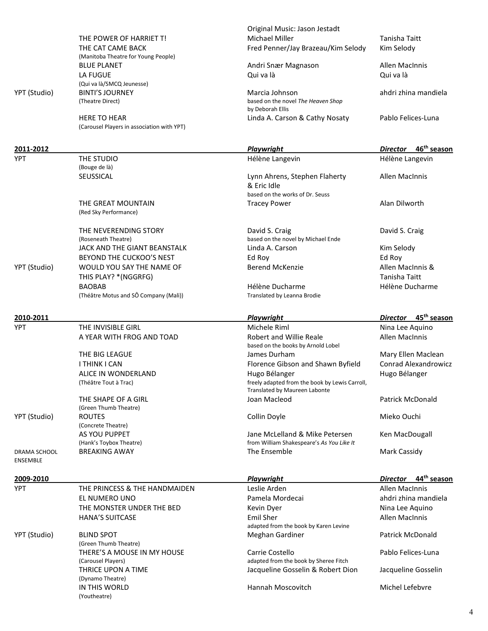|                 |                                                   | Original Music: Jason Jestadt                            |                                            |
|-----------------|---------------------------------------------------|----------------------------------------------------------|--------------------------------------------|
|                 | THE POWER OF HARRIET T!                           | <b>Michael Miller</b>                                    | Tanisha Taitt                              |
|                 | THE CAT CAME BACK                                 | Fred Penner/Jay Brazeau/Kim Selody                       | Kim Selody                                 |
|                 | (Manitoba Theatre for Young People)               |                                                          |                                            |
|                 | <b>BLUE PLANET</b>                                | Andri Snær Magnason                                      | <b>Allen MacInnis</b>                      |
|                 | <b>LA FUGUE</b>                                   | Qui va là                                                | Qui va là                                  |
|                 | (Qui va là/SMCQ Jeunesse)                         |                                                          |                                            |
| YPT (Studio)    | <b>BINTI'S JOURNEY</b>                            | Marcia Johnson                                           | ahdri zhina mandiela                       |
|                 | (Theatre Direct)                                  | based on the novel The Heaven Shop<br>by Deborah Ellis   |                                            |
|                 | <b>HERE TO HEAR</b>                               | Linda A. Carson & Cathy Nosaty                           | Pablo Felices-Luna                         |
|                 | (Carousel Players in association with YPT)        |                                                          |                                            |
|                 |                                                   |                                                          |                                            |
| 2011-2012       |                                                   | Playwright                                               | 46 <sup>th</sup> season<br><b>Director</b> |
| <b>YPT</b>      | THE STUDIO                                        | Hélène Langevin                                          | Hélène Langevin                            |
|                 | (Bouge de là)                                     |                                                          |                                            |
|                 | SEUSSICAL                                         | Lynn Ahrens, Stephen Flaherty                            | <b>Allen MacInnis</b>                      |
|                 |                                                   | & Eric Idle                                              |                                            |
|                 |                                                   | based on the works of Dr. Seuss                          |                                            |
|                 | THE GREAT MOUNTAIN                                | <b>Tracey Power</b>                                      | Alan Dilworth                              |
|                 | (Red Sky Performance)                             |                                                          |                                            |
|                 |                                                   |                                                          |                                            |
|                 | THE NEVERENDING STORY                             | David S. Craig                                           | David S. Craig                             |
|                 | (Roseneath Theatre)                               | based on the novel by Michael Ende                       |                                            |
|                 | JACK AND THE GIANT BEANSTALK                      | Linda A. Carson                                          | Kim Selody                                 |
|                 | BEYOND THE CUCKOO'S NEST                          | Ed Roy                                                   | Ed Roy                                     |
| YPT (Studio)    | WOULD YOU SAY THE NAME OF                         | <b>Berend McKenzie</b>                                   | Allen MacInnis &                           |
|                 | THIS PLAY? * (NGGRFG)                             |                                                          | Tanisha Taitt                              |
|                 | <b>BAOBAB</b>                                     | Hélène Ducharme                                          | Hélène Ducharme                            |
|                 | (Théâtre Motus and SÔ Company (Mali))             | Translated by Leanna Brodie                              |                                            |
|                 |                                                   |                                                          |                                            |
| 2010-2011       |                                                   | <b>Playwright</b>                                        | Director 45 <sup>th</sup> season           |
|                 |                                                   |                                                          |                                            |
| <b>YPT</b>      | THE INVISIBLE GIRL                                | Michele Riml                                             | Nina Lee Aquino                            |
|                 | A YEAR WITH FROG AND TOAD                         | <b>Robert and Willie Reale</b>                           | <b>Allen MacInnis</b>                      |
|                 |                                                   | based on the books by Arnold Lobel                       |                                            |
|                 | THE BIG LEAGUE                                    | James Durham                                             | Mary Ellen Maclean                         |
|                 | I THINK I CAN                                     | Florence Gibson and Shawn Byfield                        | <b>Conrad Alexandrowicz</b>                |
|                 | ALICE IN WONDERLAND                               | Hugo Bélanger                                            | Hugo Bélanger                              |
|                 | (Théâtre Tout à Trac)                             | freely adapted from the book by Lewis Carroll,           |                                            |
|                 | THE SHAPE OF A GIRL                               | Translated by Maureen Labonte<br>Joan Macleod            |                                            |
|                 | (Green Thumb Theatre)                             |                                                          | <b>Patrick McDonald</b>                    |
| YPT (Studio)    | <b>ROUTES</b>                                     | Collin Doyle                                             | Mieko Ouchi                                |
|                 | (Concrete Theatre)                                |                                                          |                                            |
|                 | AS YOU PUPPET                                     | Jane McLelland & Mike Petersen                           | Ken MacDougall                             |
|                 | (Hank's Toybox Theatre)                           | from William Shakespeare's As You Like It                |                                            |
| DRAMA SCHOOL    | <b>BREAKING AWAY</b>                              | The Ensemble                                             | Mark Cassidy                               |
| <b>ENSEMBLE</b> |                                                   |                                                          |                                            |
|                 |                                                   |                                                          |                                            |
| 2009-2010       |                                                   | <b>Playwright</b>                                        | 44 <sup>th</sup> season<br><b>Director</b> |
| <b>YPT</b>      | THE PRINCESS & THE HANDMAIDEN                     | Leslie Arden                                             | <b>Allen MacInnis</b>                      |
|                 | EL NUMERO UNO                                     | Pamela Mordecai                                          | ahdri zhina mandiela                       |
|                 | THE MONSTER UNDER THE BED                         | Kevin Dyer                                               | Nina Lee Aquino                            |
|                 | <b>HANA'S SUITCASE</b>                            | Emil Sher                                                | <b>Allen MacInnis</b>                      |
|                 |                                                   | adapted from the book by Karen Levine                    |                                            |
| YPT (Studio)    | <b>BLIND SPOT</b>                                 | Meghan Gardiner                                          | <b>Patrick McDonald</b>                    |
|                 | (Green Thumb Theatre)                             |                                                          | Pablo Felices-Luna                         |
|                 | THERE'S A MOUSE IN MY HOUSE<br>(Carousel Players) | Carrie Costello<br>adapted from the book by Sheree Fitch |                                            |
|                 | THRICE UPON A TIME                                | Jacqueline Gosselin & Robert Dion                        | Jacqueline Gosselin                        |
|                 | (Dynamo Theatre)                                  |                                                          |                                            |
|                 | IN THIS WORLD                                     | Hannah Moscovitch                                        | Michel Lefebvre                            |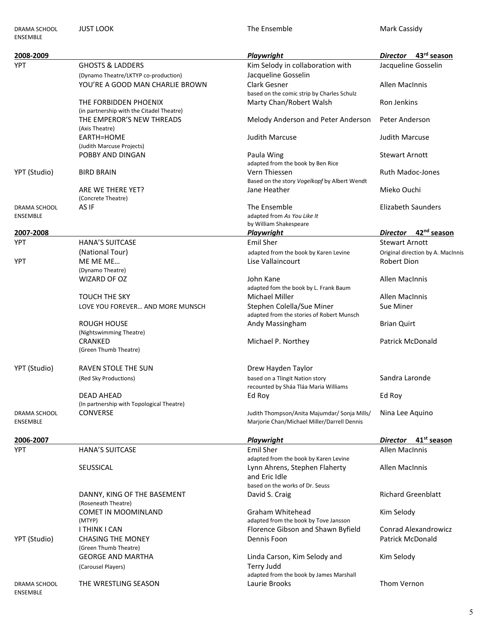| DRAMA SCHOOL<br>ENSEMBLE        | <b>JUST LOOK</b>                                                    | The Ensemble                                                                                | Mark Cassidy                               |
|---------------------------------|---------------------------------------------------------------------|---------------------------------------------------------------------------------------------|--------------------------------------------|
| 2008-2009                       |                                                                     | <b>Playwright</b>                                                                           | 43 <sup>rd</sup> season<br><b>Director</b> |
| <b>YPT</b>                      | <b>GHOSTS &amp; LADDERS</b><br>(Dynamo Theatre/LKTYP co-production) | Kim Selody in collaboration with<br>Jacqueline Gosselin                                     | Jacqueline Gosselin                        |
|                                 | YOU'RE A GOOD MAN CHARLIE BROWN                                     | Clark Gesner<br>based on the comic strip by Charles Schulz                                  | Allen MacInnis                             |
|                                 | THE FORBIDDEN PHOENIX<br>(in partnership with the Citadel Theatre)  | Marty Chan/Robert Walsh                                                                     | Ron Jenkins                                |
|                                 | THE EMPEROR'S NEW THREADS<br>(Axis Theatre)                         | Melody Anderson and Peter Anderson                                                          | Peter Anderson                             |
|                                 | EARTH=HOME<br>(Judith Marcuse Projects)                             | <b>Judith Marcuse</b>                                                                       | <b>Judith Marcuse</b>                      |
|                                 | POBBY AND DINGAN                                                    | Paula Wing<br>adapted from the book by Ben Rice                                             | <b>Stewart Arnott</b>                      |
| YPT (Studio)                    | <b>BIRD BRAIN</b>                                                   | Vern Thiessen<br>Based on the story Vogelkopf by Albert Wendt                               | <b>Ruth Madoc-Jones</b>                    |
|                                 | ARE WE THERE YET?<br>(Concrete Theatre)                             | Jane Heather                                                                                | Mieko Ouchi                                |
| DRAMA SCHOOL                    | AS IF                                                               | The Ensemble                                                                                | <b>Elizabeth Saunders</b>                  |
| <b>ENSEMBLE</b>                 |                                                                     | adapted from As You Like It<br>by William Shakespeare                                       |                                            |
| 2007-2008                       |                                                                     | <b>Playwright</b>                                                                           | 42 <sup>nd</sup> season<br><b>Director</b> |
| <b>YPT</b>                      | <b>HANA'S SUITCASE</b>                                              | <b>Emil Sher</b>                                                                            | <b>Stewart Arnott</b>                      |
|                                 | (National Tour)                                                     | adapted from the book by Karen Levine                                                       | Original direction by A. MacInnis          |
| YPT                             | ME ME ME                                                            | Lise Vallaincourt                                                                           | Robert Dion                                |
|                                 | (Dynamo Theatre)                                                    |                                                                                             |                                            |
|                                 | WIZARD OF OZ                                                        | John Kane<br>adapted fom the book by L. Frank Baum                                          | Allen MacInnis                             |
|                                 | <b>TOUCH THE SKY</b>                                                | Michael Miller                                                                              | Allen MacInnis                             |
|                                 | LOVE YOU FOREVER AND MORE MUNSCH                                    | Stephen Colella/Sue Miner                                                                   | Sue Miner                                  |
|                                 |                                                                     | adapted from the stories of Robert Munsch                                                   |                                            |
|                                 | <b>ROUGH HOUSE</b><br>(Nightswimming Theatre)                       | Andy Massingham                                                                             | <b>Brian Quirt</b>                         |
|                                 | CRANKED<br>(Green Thumb Theatre)                                    | Michael P. Northey                                                                          | Patrick McDonald                           |
|                                 |                                                                     |                                                                                             |                                            |
| YPT (Studio)                    | RAVEN STOLE THE SUN                                                 | Drew Hayden Taylor                                                                          |                                            |
|                                 | (Red Sky Productions)<br><b>DEAD AHEAD</b>                          | based on a Tlingit Nation story<br>recounted by Sháa Tláa Maria Williams                    | Sandra Laronde<br>Ed Roy                   |
|                                 | (In partnership with Topological Theatre)                           | Ed Roy                                                                                      |                                            |
| DRAMA SCHOOL<br>ENSEMBLE        | <b>CONVERSE</b>                                                     | Judith Thompson/Anita Majumdar/ Sonja Mills/<br>Marjorie Chan/Michael Miller/Darrell Dennis | Nina Lee Aquino                            |
| 2006-2007                       |                                                                     | Playwright                                                                                  | 41 <sup>st</sup> season<br><b>Director</b> |
| <b>YPT</b>                      | <b>HANA'S SUITCASE</b>                                              | <b>Emil Sher</b>                                                                            | <b>Allen MacInnis</b>                      |
|                                 |                                                                     | adapted from the book by Karen Levine                                                       |                                            |
|                                 | SEUSSICAL                                                           | Lynn Ahrens, Stephen Flaherty<br>and Eric Idle                                              | <b>Allen MacInnis</b>                      |
|                                 |                                                                     | based on the works of Dr. Seuss                                                             |                                            |
|                                 | DANNY, KING OF THE BASEMENT<br>(Roseneath Theatre)                  | David S. Craig                                                                              | <b>Richard Greenblatt</b>                  |
|                                 | COMET IN MOOMINLAND<br>(MTYP)                                       | Graham Whitehead<br>adapted from the book by Tove Jansson                                   | Kim Selody                                 |
|                                 | I THINK I CAN                                                       | Florence Gibson and Shawn Byfield                                                           | <b>Conrad Alexandrowicz</b>                |
| YPT (Studio)                    | <b>CHASING THE MONEY</b><br>(Green Thumb Theatre)                   | Dennis Foon                                                                                 | <b>Patrick McDonald</b>                    |
|                                 | <b>GEORGE AND MARTHA</b><br>(Carousel Players)                      | Linda Carson, Kim Selody and<br>Terry Judd                                                  | Kim Selody                                 |
|                                 |                                                                     | adapted from the book by James Marshall                                                     |                                            |
| DRAMA SCHOOL<br><b>ENSEMBLE</b> | THE WRESTLING SEASON                                                | Laurie Brooks                                                                               | Thom Vernon                                |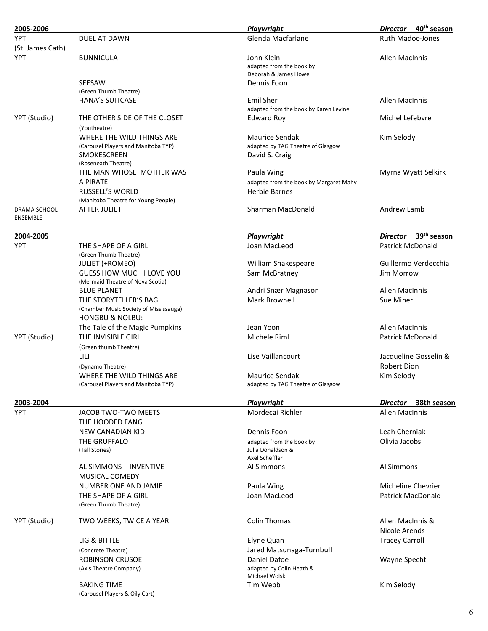| 2005-2006                       |                                                                 | <b>Playwright</b>                      | 40 <sup>th</sup> season<br>Director        |
|---------------------------------|-----------------------------------------------------------------|----------------------------------------|--------------------------------------------|
| <b>YPT</b>                      | DUEL AT DAWN                                                    | Glenda Macfarlane                      | <b>Ruth Madoc-Jones</b>                    |
| (St. James Cath)                |                                                                 |                                        |                                            |
| <b>YPT</b>                      | <b>BUNNICULA</b>                                                | John Klein                             | <b>Allen MacInnis</b>                      |
|                                 |                                                                 | adapted from the book by               |                                            |
|                                 |                                                                 | Deborah & James Howe                   |                                            |
|                                 | SEESAW                                                          | Dennis Foon                            |                                            |
|                                 | (Green Thumb Theatre)<br><b>HANA'S SUITCASE</b>                 | <b>Emil Sher</b>                       | <b>Allen MacInnis</b>                      |
|                                 |                                                                 | adapted from the book by Karen Levine  |                                            |
| YPT (Studio)                    | THE OTHER SIDE OF THE CLOSET                                    | <b>Edward Roy</b>                      | Michel Lefebvre                            |
|                                 | (Youtheatre)                                                    |                                        |                                            |
|                                 | WHERE THE WILD THINGS ARE                                       | Maurice Sendak                         | Kim Selody                                 |
|                                 | (Carousel Players and Manitoba TYP)                             | adapted by TAG Theatre of Glasgow      |                                            |
|                                 | SMOKESCREEN                                                     | David S. Craig                         |                                            |
|                                 | (Roseneath Theatre)                                             |                                        |                                            |
|                                 | THE MAN WHOSE MOTHER WAS                                        | Paula Wing                             | Myrna Wyatt Selkirk                        |
|                                 | A PIRATE                                                        | adapted from the book by Margaret Mahy |                                            |
|                                 | <b>RUSSELL'S WORLD</b>                                          | <b>Herbie Barnes</b>                   |                                            |
|                                 | (Manitoba Theatre for Young People)                             |                                        |                                            |
| DRAMA SCHOOL<br><b>ENSEMBLE</b> | <b>AFTER JULIET</b>                                             | Sharman MacDonald                      | Andrew Lamb                                |
|                                 |                                                                 |                                        |                                            |
| 2004-2005                       |                                                                 | Playwright                             | 39 <sup>th</sup> season<br><b>Director</b> |
| <b>YPT</b>                      | THE SHAPE OF A GIRL                                             | Joan MacLeod                           | <b>Patrick McDonald</b>                    |
|                                 | (Green Thumb Theatre)                                           |                                        |                                            |
|                                 | <b>JULIET (+ROMEO)</b>                                          | William Shakespeare                    | Guillermo Verdecchia                       |
|                                 | GUESS HOW MUCH I LOVE YOU                                       | Sam McBratney                          | Jim Morrow                                 |
|                                 | (Mermaid Theatre of Nova Scotia)                                |                                        |                                            |
|                                 | <b>BLUE PLANET</b>                                              | Andri Snær Magnason                    | Allen MacInnis                             |
|                                 | THE STORYTELLER'S BAG<br>(Chamber Music Society of Mississauga) | Mark Brownell                          | Sue Miner                                  |
|                                 | <b>HONGBU &amp; NOLBU:</b>                                      |                                        |                                            |
|                                 | The Tale of the Magic Pumpkins                                  | Jean Yoon                              | <b>Allen MacInnis</b>                      |
| YPT (Studio)                    | THE INVISIBLE GIRL                                              | Michele Riml                           | <b>Patrick McDonald</b>                    |
|                                 | (Green thumb Theatre)                                           |                                        |                                            |
|                                 | LILI                                                            | Lise Vaillancourt                      | Jacqueline Gosselin &                      |
|                                 |                                                                 |                                        | <b>Robert Dion</b>                         |
|                                 | (Dynamo Theatre)<br>WHERE THE WILD THINGS ARE                   | Maurice Sendak                         | Kim Selody                                 |
|                                 | (Carousel Players and Manitoba TYP)                             | adapted by TAG Theatre of Glasgow      |                                            |
|                                 |                                                                 |                                        |                                            |
| 2003-2004                       |                                                                 | <b>Playwright</b>                      | 38th season<br><b>Director</b>             |
| <b>YPT</b>                      | JACOB TWO-TWO MEETS                                             | Mordecai Richler                       | Allen MacInnis                             |
|                                 | THE HOODED FANG                                                 |                                        |                                            |
|                                 | NEW CANADIAN KID                                                | Dennis Foon                            | Leah Cherniak                              |
|                                 | THE GRUFFALO                                                    | adapted from the book by               | Olivia Jacobs                              |
|                                 | (Tall Stories)                                                  | Julia Donaldson &                      |                                            |
|                                 |                                                                 | Axel Scheffler<br>Al Simmons           | Al Simmons                                 |
|                                 | AL SIMMONS - INVENTIVE                                          |                                        |                                            |
|                                 | MUSICAL COMEDY                                                  |                                        |                                            |
|                                 | NUMBER ONE AND JAMIE                                            | Paula Wing                             | Micheline Chevrier                         |
|                                 | THE SHAPE OF A GIRL<br>(Green Thumb Theatre)                    | Joan MacLeod                           | <b>Patrick MacDonald</b>                   |
|                                 |                                                                 |                                        |                                            |
| YPT (Studio)                    | TWO WEEKS, TWICE A YEAR                                         | <b>Colin Thomas</b>                    | Allen MacInnis &                           |
|                                 |                                                                 |                                        | Nicole Arends                              |
|                                 | LIG & BITTLE                                                    | Elyne Quan                             | <b>Tracey Carroll</b>                      |
|                                 | (Concrete Theatre)                                              | Jared Matsunaga-Turnbull               |                                            |
|                                 | ROBINSON CRUSOE                                                 | Daniel Dafoe                           | Wayne Specht                               |
|                                 | (Axis Theatre Company)                                          | adapted by Colin Heath &               |                                            |
|                                 |                                                                 | Michael Wolski                         |                                            |
|                                 | <b>BAKING TIME</b>                                              | Tim Webb                               | Kim Selody                                 |
|                                 | (Carousel Players & Oily Cart)                                  |                                        |                                            |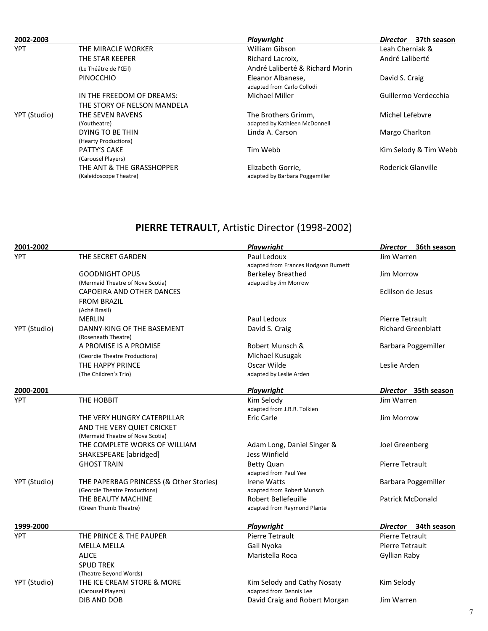| 2002-2003    |                                          | Playwright                                      | 37th season<br><b>Director</b> |
|--------------|------------------------------------------|-------------------------------------------------|--------------------------------|
| <b>YPT</b>   | THE MIRACLE WORKER                       | William Gibson                                  | Leah Cherniak &                |
|              | THE STAR KEEPER                          | Richard Lacroix,                                | André Laliberté                |
|              | (Le Théâtre de l'Œil)                    | André Laliberté & Richard Morin                 |                                |
|              | <b>PINOCCHIO</b>                         | Eleanor Albanese.<br>adapted from Carlo Collodi | David S. Craig                 |
|              | IN THE FREEDOM OF DREAMS:                | Michael Miller                                  | Guillermo Verdecchia           |
|              | THE STORY OF NELSON MANDELA              |                                                 |                                |
| YPT (Studio) | THE SEVEN RAVENS                         | The Brothers Grimm,                             | Michel Lefebvre                |
|              | (Youtheatre)                             | adapted by Kathleen McDonnell                   |                                |
|              | DYING TO BE THIN<br>(Hearty Productions) | Linda A. Carson                                 | Margo Charlton                 |
|              | <b>PATTY'S CAKE</b>                      | Tim Webb                                        | Kim Selody & Tim Webb          |
|              | (Carousel Players)                       |                                                 |                                |
|              | THE ANT & THE GRASSHOPPER                | Elizabeth Gorrie,                               | Roderick Glanville             |
|              | (Kaleidoscope Theatre)                   | adapted by Barbara Poggemiller                  |                                |

# PIERRE TETRAULT, Artistic Director (1998-2002)

| 2001-2002    |                                         | <b>Playwright</b>                    | 36th season<br><b>Director</b> |  |
|--------------|-----------------------------------------|--------------------------------------|--------------------------------|--|
| <b>YPT</b>   | THE SECRET GARDEN                       | Paul Ledoux                          | Jim Warren                     |  |
|              |                                         | adapted from Frances Hodgson Burnett |                                |  |
|              | <b>GOODNIGHT OPUS</b>                   | <b>Berkeley Breathed</b>             | <b>Jim Morrow</b>              |  |
|              | (Mermaid Theatre of Nova Scotia)        | adapted by Jim Morrow                |                                |  |
|              | CAPOEIRA AND OTHER DANCES               |                                      | Eclilson de Jesus              |  |
|              | <b>FROM BRAZIL</b>                      |                                      |                                |  |
|              | (Aché Brasil)                           |                                      |                                |  |
|              | <b>MERLIN</b>                           | Paul Ledoux                          | <b>Pierre Tetrault</b>         |  |
| YPT (Studio) | DANNY-KING OF THE BASEMENT              | David S. Craig                       | <b>Richard Greenblatt</b>      |  |
|              | (Roseneath Theatre)                     |                                      |                                |  |
|              | A PROMISE IS A PROMISE                  | Robert Munsch &                      | Barbara Poggemiller            |  |
|              | (Geordie Theatre Productions)           | Michael Kusugak                      |                                |  |
|              | THE HAPPY PRINCE                        | Oscar Wilde                          | Leslie Arden                   |  |
|              | (The Children's Trio)                   | adapted by Leslie Arden              |                                |  |
| 2000-2001    |                                         | <b>Playwright</b>                    | Director 35th season           |  |
| <b>YPT</b>   | THE HOBBIT                              | Kim Selody                           | Jim Warren                     |  |
|              |                                         | adapted from J.R.R. Tolkien          |                                |  |
|              | THE VERY HUNGRY CATERPILLAR             | <b>Eric Carle</b>                    | Jim Morrow                     |  |
|              | AND THE VERY QUIET CRICKET              |                                      |                                |  |
|              | (Mermaid Theatre of Nova Scotia)        |                                      |                                |  |
|              | THE COMPLETE WORKS OF WILLIAM           | Adam Long, Daniel Singer &           | Joel Greenberg                 |  |
|              | SHAKESPEARE [abridged]                  | Jess Winfield                        |                                |  |
|              | <b>GHOST TRAIN</b>                      | <b>Betty Quan</b>                    | Pierre Tetrault                |  |
|              |                                         | adapted from Paul Yee                |                                |  |
| YPT (Studio) | THE PAPERBAG PRINCESS (& Other Stories) | <b>Irene Watts</b>                   | Barbara Poggemiller            |  |
|              | (Geordie Theatre Productions)           | adapted from Robert Munsch           |                                |  |
|              | THE BEAUTY MACHINE                      | <b>Robert Bellefeuille</b>           | <b>Patrick McDonald</b>        |  |
|              | (Green Thumb Theatre)                   | adapted from Raymond Plante          |                                |  |
| 1999-2000    |                                         | Playwright                           | Director 34th season           |  |
| <b>YPT</b>   | THE PRINCE & THE PAUPER                 | <b>Pierre Tetrault</b>               | Pierre Tetrault                |  |
|              | <b>MELLA MELLA</b>                      | Gail Nyoka                           | Pierre Tetrault                |  |
|              | <b>ALICE</b>                            | Maristella Roca                      | Gyllian Raby                   |  |
|              | <b>SPUD TREK</b>                        |                                      |                                |  |
|              | (Theatre Beyond Words)                  |                                      |                                |  |
| YPT (Studio) | THE ICE CREAM STORE & MORE              | Kim Selody and Cathy Nosaty          | Kim Selody                     |  |
|              | (Carousel Players)                      | adapted from Dennis Lee              |                                |  |
|              | DIB AND DOB                             | David Craig and Robert Morgan        | Jim Warren                     |  |
|              |                                         |                                      |                                |  |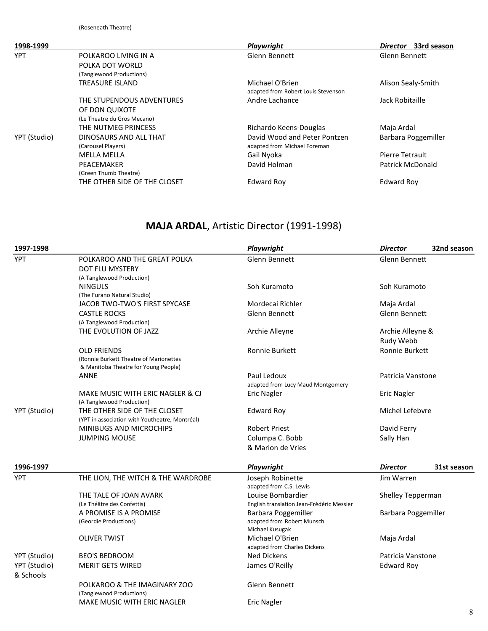| 1998-1999    |                                                                            | Playwright                                                   | 33rd season<br>Director |
|--------------|----------------------------------------------------------------------------|--------------------------------------------------------------|-------------------------|
| <b>YPT</b>   | POLKAROO LIVING IN A<br>POLKA DOT WORLD<br>(Tanglewood Productions)        | Glenn Bennett                                                | <b>Glenn Bennett</b>    |
|              | TREASURE ISLAND                                                            | Michael O'Brien<br>adapted from Robert Louis Stevenson       | Alison Sealy-Smith      |
|              | THE STUPENDOUS ADVENTURES<br>OF DON QUIXOTE<br>(Le Theatre du Gros Mecano) | Andre Lachance                                               | Jack Robitaille         |
|              | THE NUTMEG PRINCESS                                                        | Richardo Keens-Douglas                                       | Maja Ardal              |
| YPT (Studio) | DINOSAURS AND ALL THAT<br>(Carousel Players)                               | David Wood and Peter Pontzen<br>adapted from Michael Foreman | Barbara Poggemiller     |
|              | <b>MELLA MELLA</b>                                                         | Gail Nyoka                                                   | Pierre Tetrault         |
|              | PEACEMAKER<br>(Green Thumb Theatre)                                        | David Holman                                                 | <b>Patrick McDonald</b> |
|              | THE OTHER SIDE OF THE CLOSET                                               | <b>Edward Roy</b>                                            | Edward Roy              |

## MAJA ARDAL, Artistic Director (1991-1998)

| 1997-1998                 |                                                                                | Playwright                                       | <b>Director</b>     | 32nd season |
|---------------------------|--------------------------------------------------------------------------------|--------------------------------------------------|---------------------|-------------|
| <b>YPT</b>                | POLKAROO AND THE GREAT POLKA<br><b>DOT FLU MYSTERY</b>                         | Glenn Bennett                                    | Glenn Bennett       |             |
|                           | (A Tanglewood Production)                                                      |                                                  |                     |             |
|                           | <b>NINGULS</b>                                                                 | Soh Kuramoto                                     | Soh Kuramoto        |             |
|                           | (The Furano Natural Studio)<br>JACOB TWO-TWO'S FIRST SPYCASE                   | Mordecai Richler                                 | Maja Ardal          |             |
|                           | <b>CASTLE ROCKS</b>                                                            | Glenn Bennett                                    | Glenn Bennett       |             |
|                           | (A Tanglewood Production)                                                      |                                                  |                     |             |
|                           | THE EVOLUTION OF JAZZ                                                          | Archie Alleyne                                   | Archie Alleyne &    |             |
|                           |                                                                                |                                                  | Rudy Webb           |             |
|                           | <b>OLD FRIENDS</b>                                                             | Ronnie Burkett                                   | Ronnie Burkett      |             |
|                           | (Ronnie Burkett Theatre of Marionettes<br>& Manitoba Theatre for Young People) |                                                  |                     |             |
|                           | <b>ANNE</b>                                                                    | Paul Ledoux<br>adapted from Lucy Maud Montgomery | Patricia Vanstone   |             |
|                           | MAKE MUSIC WITH ERIC NAGLER & CJ<br>(A Tanglewood Production)                  | <b>Eric Nagler</b>                               | <b>Eric Nagler</b>  |             |
| YPT (Studio)              | THE OTHER SIDE OF THE CLOSET<br>(YPT in association with Youtheatre, Montréal) | <b>Edward Roy</b>                                | Michel Lefebvre     |             |
|                           | <b>MINIBUGS AND MICROCHIPS</b>                                                 | <b>Robert Priest</b>                             | David Ferry         |             |
|                           | <b>JUMPING MOUSE</b>                                                           | Columpa C. Bobb                                  | Sally Han           |             |
|                           |                                                                                | & Marion de Vries                                |                     |             |
| 1996-1997                 |                                                                                | Playwright                                       | <b>Director</b>     | 31st season |
| <b>YPT</b>                | THE LION, THE WITCH & THE WARDROBE                                             | Joseph Robinette<br>adapted from C.S. Lewis      | Jim Warren          |             |
|                           | THE TALE OF JOAN AVARK                                                         | Louise Bombardier                                | Shelley Tepperman   |             |
|                           | (Le Théâtre des Confettis)                                                     | English translation Jean-Frèdéric Messier        |                     |             |
|                           | A PROMISE IS A PROMISE                                                         | Barbara Poggemiller                              | Barbara Poggemiller |             |
|                           | (Geordie Productions)                                                          | adapted from Robert Munsch<br>Michael Kusugak    |                     |             |
|                           | <b>OLIVER TWIST</b>                                                            | Michael O'Brien<br>adapted from Charles Dickens  | Maja Ardal          |             |
| YPT (Studio)              | <b>BEO'S BEDROOM</b>                                                           | <b>Ned Dickens</b>                               | Patricia Vanstone   |             |
| YPT (Studio)<br>& Schools | <b>MERIT GETS WIRED</b>                                                        | James O'Reilly                                   | <b>Edward Roy</b>   |             |
|                           | POLKAROO & THE IMAGINARY ZOO<br>(Tanglewood Productions)                       | Glenn Bennett                                    |                     |             |
|                           | <b>MAKE MUSIC WITH ERIC NAGLER</b>                                             | <b>Eric Nagler</b>                               |                     |             |
|                           |                                                                                |                                                  |                     | 8           |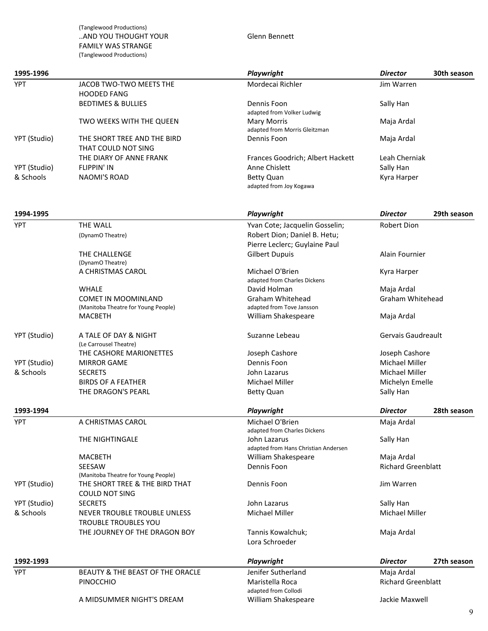(Tanglewood Productions) ..AND YOU THOUGHT YOUR Glenn Bennett FAMILY WAS STRANGE (Tanglewood Productions)

| 1995-1996    |                                                         | Playwright                                          | <b>Director</b>                         | 30th season |
|--------------|---------------------------------------------------------|-----------------------------------------------------|-----------------------------------------|-------------|
| <b>YPT</b>   | JACOB TWO-TWO MEETS THE<br><b>HOODED FANG</b>           | Mordecai Richler                                    | Jim Warren                              |             |
|              | <b>BEDTIMES &amp; BULLIES</b>                           | Dennis Foon<br>adapted from Volker Ludwig           | Sally Han                               |             |
|              | TWO WEEKS WITH THE QUEEN                                | <b>Mary Morris</b><br>adapted from Morris Gleitzman | Maja Ardal                              |             |
| YPT (Studio) | THE SHORT TREE AND THE BIRD<br>THAT COULD NOT SING      | Dennis Foon                                         | Maja Ardal                              |             |
|              | THE DIARY OF ANNE FRANK                                 | Frances Goodrich; Albert Hackett                    | Leah Cherniak                           |             |
| YPT (Studio) | <b>FLIPPIN' IN</b>                                      | Anne Chislett                                       | Sally Han                               |             |
| & Schools    | <b>NAOMI'S ROAD</b>                                     | <b>Betty Quan</b><br>adapted from Joy Kogawa        | Kyra Harper                             |             |
| 1994-1995    |                                                         | Playwright                                          | <b>Director</b>                         | 29th season |
| <b>YPT</b>   | <b>THE WALL</b>                                         | Yvan Cote; Jacquelin Gosselin;                      | Robert Dion                             |             |
|              | (DynamO Theatre)                                        | Robert Dion; Daniel B. Hetu;                        |                                         |             |
|              |                                                         | Pierre Leclerc; Guylaine Paul                       |                                         |             |
|              | THE CHALLENGE                                           | <b>Gilbert Dupuis</b>                               | Alain Fournier                          |             |
|              | (DynamO Theatre)                                        |                                                     |                                         |             |
|              | A CHRISTMAS CAROL                                       | Michael O'Brien                                     | Kyra Harper                             |             |
|              |                                                         | adapted from Charles Dickens                        |                                         |             |
|              | <b>WHALE</b>                                            | David Holman                                        | Maja Ardal                              |             |
|              | COMET IN MOOMINLAND                                     | <b>Graham Whitehead</b>                             | Graham Whitehead                        |             |
|              | (Manitoba Theatre for Young People)                     | adapted from Tove Jansson                           |                                         |             |
|              | <b>MACBETH</b>                                          | William Shakespeare                                 | Maja Ardal                              |             |
| YPT (Studio) | A TALE OF DAY & NIGHT<br>(Le Carrousel Theatre)         | Suzanne Lebeau                                      | Gervais Gaudreault                      |             |
|              | THE CASHORE MARIONETTES                                 | Joseph Cashore                                      | Joseph Cashore                          |             |
| YPT (Studio) | <b>MIRROR GAME</b>                                      | Dennis Foon                                         | <b>Michael Miller</b>                   |             |
| & Schools    | <b>SECRETS</b>                                          | John Lazarus                                        | <b>Michael Miller</b>                   |             |
|              | <b>BIRDS OF A FEATHER</b>                               | <b>Michael Miller</b>                               | Michelyn Emelle                         |             |
|              | THE DRAGON'S PEARL                                      | <b>Betty Quan</b>                                   | Sally Han                               |             |
| 1993-1994    |                                                         | Playwright                                          | <b>Director</b>                         | 28th season |
| YPT          | A CHRISTMAS CAROL                                       | Michael O'Brien                                     | Maja Ardal                              |             |
|              |                                                         | adapted from Charles Dickens                        |                                         |             |
|              | THE NIGHTINGALE                                         | John Lazarus                                        | Sally Han                               |             |
|              |                                                         | adapted from Hans Christian Andersen                |                                         |             |
|              | <b>MACBETH</b><br><b>SEESAW</b>                         | William Shakespeare<br>Dennis Foon                  | Maja Ardal<br><b>Richard Greenblatt</b> |             |
|              | (Manitoba Theatre for Young People)                     |                                                     |                                         |             |
| YPT (Studio) | THE SHORT TREE & THE BIRD THAT<br><b>COULD NOT SING</b> | Dennis Foon                                         | Jim Warren                              |             |
| YPT (Studio) | <b>SECRETS</b>                                          | John Lazarus                                        | Sally Han                               |             |
| & Schools    | NEVER TROUBLE TROUBLE UNLESS                            | Michael Miller                                      | <b>Michael Miller</b>                   |             |
|              | <b>TROUBLE TROUBLES YOU</b>                             |                                                     |                                         |             |
|              | THE JOURNEY OF THE DRAGON BOY                           | Tannis Kowalchuk;<br>Lora Schroeder                 | Maja Ardal                              |             |
| 1992-1993    |                                                         | Playwright                                          | <b>Director</b>                         | 27th season |
| <b>YPT</b>   | BEAUTY & THE BEAST OF THE ORACLE                        | Jenifer Sutherland                                  | Maja Ardal                              |             |
|              | PINOCCHIO                                               | Maristella Roca<br>adapted from Collodi             | <b>Richard Greenblatt</b>               |             |
|              | A MIDSUMMER NIGHT'S DREAM                               | William Shakespeare                                 | Jackie Maxwell                          |             |
|              |                                                         |                                                     |                                         | 9           |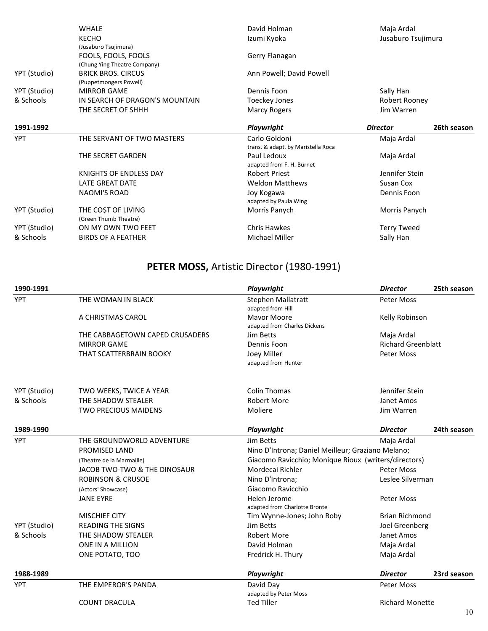|              | <b>WHALE</b>                                           | David Holman                        | Maja Ardal         |             |
|--------------|--------------------------------------------------------|-------------------------------------|--------------------|-------------|
|              | <b>KECHO</b>                                           | Izumi Kyoka                         | Jusaburo Tsujimura |             |
|              | (Jusaburo Tsujimura)                                   |                                     |                    |             |
|              | FOOLS, FOOLS, FOOLS                                    | Gerry Flanagan                      |                    |             |
|              | (Chung Ying Theatre Company)                           |                                     |                    |             |
| YPT (Studio) | <b>BRICK BROS. CIRCUS</b>                              | Ann Powell; David Powell            |                    |             |
|              | (Puppetmongers Powell)                                 |                                     |                    |             |
| YPT (Studio) | <b>MIRROR GAME</b>                                     | Dennis Foon                         | Sally Han          |             |
| & Schools    | IN SEARCH OF DRAGON'S MOUNTAIN<br><b>Toeckey Jones</b> |                                     | Robert Rooney      |             |
|              | THE SECRET OF SHHH                                     | Marcy Rogers                        | Jim Warren         |             |
| 1991-1992    |                                                        | Playwright                          | <b>Director</b>    | 26th season |
| <b>YPT</b>   | THE SERVANT OF TWO MASTERS                             | Carlo Goldoni                       | Maja Ardal         |             |
|              |                                                        | trans. & adapt. by Maristella Roca  |                    |             |
|              | THE SECRET GARDEN                                      | Paul Ledoux                         | Maja Ardal         |             |
|              |                                                        | adapted from F. H. Burnet           |                    |             |
|              | KNIGHTS OF ENDLESS DAY                                 | <b>Robert Priest</b>                | Jennifer Stein     |             |
|              | LATE GREAT DATE                                        | <b>Weldon Matthews</b>              | Susan Cox          |             |
|              | NAOMI'S ROAD                                           | Joy Kogawa<br>adapted by Paula Wing | Dennis Foon        |             |
| YPT (Studio) | THE COST OF LIVING                                     | Morris Panych                       | Morris Panych      |             |
|              | (Green Thumb Theatre)                                  |                                     |                    |             |
| YPT (Studio) | ON MY OWN TWO FEET                                     | <b>Chris Hawkes</b>                 | <b>Terry Tweed</b> |             |
| & Schools    | <b>BIRDS OF A FEATHER</b>                              | Michael Miller                      | Sally Han          |             |

# PETER MOSS, Artistic Director (1980-1991)

| 1990-1991    |                                 | Playwright                                           | <b>Director</b>           | 25th season |  |
|--------------|---------------------------------|------------------------------------------------------|---------------------------|-------------|--|
| <b>YPT</b>   | THE WOMAN IN BLACK              | Stephen Mallatratt<br>adapted from Hill              | <b>Peter Moss</b>         |             |  |
|              | A CHRISTMAS CAROL               | <b>Mavor Moore</b><br>adapted from Charles Dickens   | Kelly Robinson            |             |  |
|              | THE CABBAGETOWN CAPED CRUSADERS | Jim Betts                                            | Maja Ardal                |             |  |
|              | <b>MIRROR GAME</b>              | Dennis Foon                                          | <b>Richard Greenblatt</b> |             |  |
|              | THAT SCATTERBRAIN BOOKY         | Joey Miller<br>adapted from Hunter                   | Peter Moss                |             |  |
| YPT (Studio) | TWO WEEKS, TWICE A YEAR         | <b>Colin Thomas</b>                                  | Jennifer Stein            |             |  |
| & Schools    | THE SHADOW STEALER              | <b>Robert More</b>                                   | Janet Amos                |             |  |
|              | <b>TWO PRECIOUS MAIDENS</b>     | Moliere                                              | Jim Warren                |             |  |
| 1989-1990    |                                 | Playwright                                           | <b>Director</b>           | 24th season |  |
| <b>YPT</b>   | THE GROUNDWORLD ADVENTURE       | Jim Betts                                            | Maja Ardal                |             |  |
|              | <b>PROMISED LAND</b>            | Nino D'Introna; Daniel Meilleur; Graziano Melano;    |                           |             |  |
|              | (Theatre de la Marmaille)       | Giacomo Ravicchio; Monique Rioux (writers/directors) |                           |             |  |
|              | JACOB TWO-TWO & THE DINOSAUR    | Mordecai Richler                                     | Peter Moss                |             |  |
|              | <b>ROBINSON &amp; CRUSOE</b>    | Nino D'Introna;                                      | Leslee Silverman          |             |  |
|              | (Actors' Showcase)              | Giacomo Ravicchio                                    |                           |             |  |
|              | <b>JANE EYRE</b>                | Helen Jerome<br>adapted from Charlotte Bronte        | Peter Moss                |             |  |
|              | <b>MISCHIEF CITY</b>            | Tim Wynne-Jones; John Roby                           | <b>Brian Richmond</b>     |             |  |
| YPT (Studio) | <b>READING THE SIGNS</b>        | Jim Betts                                            | Joel Greenberg            |             |  |
| & Schools    | THE SHADOW STEALER              | <b>Robert More</b>                                   | Janet Amos                |             |  |
|              | <b>ONE IN A MILLION</b>         | David Holman                                         | Maja Ardal                |             |  |
|              | ONE POTATO, TOO                 | Fredrick H. Thury                                    | Maja Ardal                |             |  |
| 1988-1989    |                                 | Playwright                                           | <b>Director</b>           | 23rd season |  |
| <b>YPT</b>   | THE EMPEROR'S PANDA             | David Day<br>adapted by Peter Moss                   | Peter Moss                |             |  |
|              | <b>COUNT DRACULA</b>            | <b>Ted Tiller</b>                                    | <b>Richard Monette</b>    |             |  |
|              |                                 |                                                      |                           | 10          |  |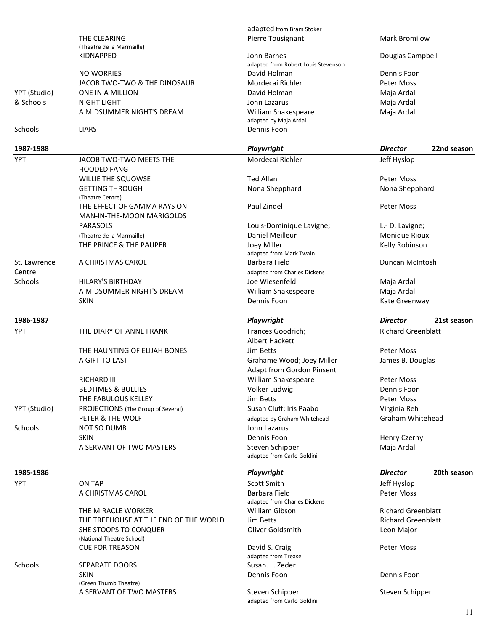|              |                                                     |                                                         |                                | 11 |
|--------------|-----------------------------------------------------|---------------------------------------------------------|--------------------------------|----|
|              |                                                     | adapted from Carlo Goldini                              | Steven Schipper                |    |
|              | (Green Thumb Theatre)<br>A SERVANT OF TWO MASTERS   | Steven Schipper                                         |                                |    |
|              | <b>SKIN</b>                                         | Dennis Foon                                             | Dennis Foon                    |    |
| Schools      | SEPARATE DOORS                                      | Susan. L. Zeder                                         |                                |    |
|              |                                                     | David S. Craig<br>adapted from Trease                   |                                |    |
|              | (National Theatre School)<br><b>CUE FOR TREASON</b> |                                                         | <b>Peter Moss</b>              |    |
|              | SHE STOOPS TO CONQUER                               | Oliver Goldsmith                                        | Leon Major                     |    |
|              | THE TREEHOUSE AT THE END OF THE WORLD               | Jim Betts                                               | <b>Richard Greenblatt</b>      |    |
|              | THE MIRACLE WORKER                                  | adapted from Charles Dickens<br>William Gibson          | <b>Richard Greenblatt</b>      |    |
|              | A CHRISTMAS CAROL                                   | Barbara Field                                           | <b>Peter Moss</b>              |    |
| <b>YPT</b>   | ON TAP                                              | Scott Smith                                             | Jeff Hyslop                    |    |
| 1985-1986    |                                                     | Playwright                                              | <b>Director</b><br>20th season |    |
|              |                                                     |                                                         |                                |    |
|              |                                                     | adapted from Carlo Goldini                              |                                |    |
|              | A SERVANT OF TWO MASTERS                            | Steven Schipper                                         | Maja Ardal                     |    |
|              | <b>SKIN</b>                                         | Dennis Foon                                             | Henry Czerny                   |    |
| Schools      | <b>NOT SO DUMB</b>                                  | John Lazarus                                            |                                |    |
|              | PETER & THE WOLF                                    | adapted by Graham Whitehead                             | Graham Whitehead               |    |
| YPT (Studio) | PROJECTIONS (The Group of Several)                  | Susan Cluff; Iris Paabo                                 | Virginia Reh                   |    |
|              | THE FABULOUS KELLEY                                 | Jim Betts                                               | <b>Peter Moss</b>              |    |
|              | <b>BEDTIMES &amp; BULLIES</b>                       | Volker Ludwig                                           | Dennis Foon                    |    |
|              | RICHARD III                                         | <b>Adapt from Gordon Pinsent</b><br>William Shakespeare | Peter Moss                     |    |
|              | A GIFT TO LAST                                      | Grahame Wood; Joey Miller                               | James B. Douglas               |    |
|              | THE HAUNTING OF ELIJAH BONES                        | Jim Betts                                               | <b>Peter Moss</b>              |    |
|              |                                                     | Albert Hackett                                          |                                |    |
| <b>YPT</b>   | THE DIARY OF ANNE FRANK                             | Frances Goodrich;                                       | <b>Richard Greenblatt</b>      |    |
| 1986-1987    |                                                     | Playwright                                              | <b>Director</b><br>21st season |    |
|              |                                                     |                                                         |                                |    |
|              | <b>SKIN</b>                                         | Dennis Foon                                             | Kate Greenway                  |    |
|              | A MIDSUMMER NIGHT'S DREAM                           | William Shakespeare                                     | Maja Ardal                     |    |
| Schools      | <b>HILARY'S BIRTHDAY</b>                            | Joe Wiesenfeld                                          | Maja Ardal                     |    |
| Centre       |                                                     | adapted from Charles Dickens                            |                                |    |
| St. Lawrence | A CHRISTMAS CAROL                                   | Barbara Field                                           | Duncan McIntosh                |    |
|              |                                                     | adapted from Mark Twain                                 |                                |    |
|              | THE PRINCE & THE PAUPER                             | Joey Miller                                             | Kelly Robinson                 |    |
|              | (Theatre de la Marmaille)                           | Daniel Meilleur                                         | Monique Rioux                  |    |
|              | PARASOLS                                            | Louis-Dominique Lavigne;                                | L.- D. Lavigne;                |    |
|              | MAN-IN-THE-MOON MARIGOLDS                           |                                                         |                                |    |
|              | THE EFFECT OF GAMMA RAYS ON                         | Paul Zindel                                             | Peter Moss                     |    |
|              | <b>GETTING THROUGH</b><br>(Theatre Centre)          | Nona Shepphard                                          | Nona Shepphard                 |    |
|              | WILLIE THE SQUOWSE                                  |                                                         | Peter Moss                     |    |
|              | <b>HOODED FANG</b>                                  | <b>Ted Allan</b>                                        |                                |    |
| <b>YPT</b>   | JACOB TWO-TWO MEETS THE                             | Mordecai Richler                                        | Jeff Hyslop                    |    |
| 1987-1988    |                                                     | Playwright                                              | <b>Director</b><br>22nd season |    |
|              |                                                     |                                                         |                                |    |
| Schools      | <b>LIARS</b>                                        | Dennis Foon                                             |                                |    |
|              |                                                     | adapted by Maja Ardal                                   |                                |    |
|              | A MIDSUMMER NIGHT'S DREAM                           | William Shakespeare                                     | Maja Ardal                     |    |
| & Schools    | <b>NIGHT LIGHT</b>                                  | John Lazarus                                            | Maja Ardal                     |    |
| YPT (Studio) | ONE IN A MILLION                                    | David Holman                                            | Maja Ardal                     |    |
|              | JACOB TWO-TWO & THE DINOSAUR                        | Mordecai Richler                                        | Peter Moss                     |    |
|              | <b>NO WORRIES</b>                                   | adapted from Robert Louis Stevenson<br>David Holman     | Dennis Foon                    |    |
|              | <b>KIDNAPPED</b>                                    | John Barnes                                             | Douglas Campbell               |    |
|              | (Theatre de la Marmaille)                           |                                                         |                                |    |
|              | THE CLEARING                                        | Pierre Tousignant                                       | <b>Mark Bromilow</b>           |    |
|              |                                                     | adapted from Bram Stoker                                |                                |    |
|              |                                                     |                                                         |                                |    |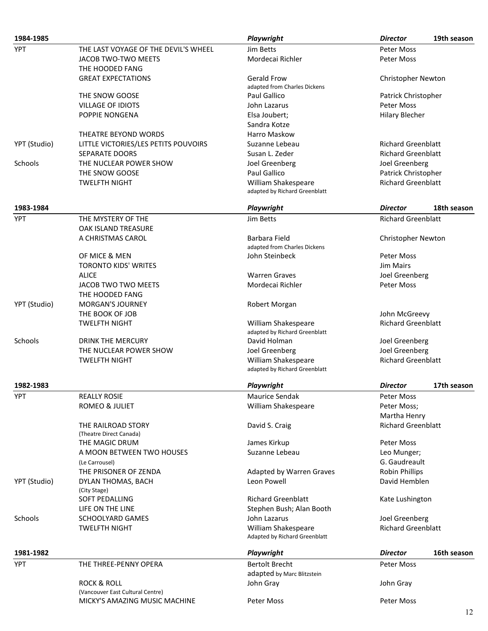| 1984-1985    |                                      | Playwright                    | <b>Director</b>           | 19th season |
|--------------|--------------------------------------|-------------------------------|---------------------------|-------------|
| <b>YPT</b>   | THE LAST VOYAGE OF THE DEVIL'S WHEEL | Jim Betts                     | <b>Peter Moss</b>         |             |
|              | JACOB TWO-TWO MEETS                  | Mordecai Richler              | <b>Peter Moss</b>         |             |
|              | THE HOODED FANG                      |                               |                           |             |
|              | <b>GREAT EXPECTATIONS</b>            | <b>Gerald Frow</b>            | <b>Christopher Newton</b> |             |
|              |                                      | adapted from Charles Dickens  |                           |             |
|              | THE SNOW GOOSE                       | Paul Gallico                  | Patrick Christopher       |             |
|              | <b>VILLAGE OF IDIOTS</b>             | John Lazarus                  | Peter Moss                |             |
|              | POPPIE NONGENA                       | Elsa Joubert;                 | <b>Hilary Blecher</b>     |             |
|              |                                      | Sandra Kotze                  |                           |             |
|              | THEATRE BEYOND WORDS                 | Harro Maskow                  |                           |             |
| YPT (Studio) | LITTLE VICTORIES/LES PETITS POUVOIRS | Suzanne Lebeau                | <b>Richard Greenblatt</b> |             |
|              | <b>SEPARATE DOORS</b>                | Susan L. Zeder                | <b>Richard Greenblatt</b> |             |
| Schools      | THE NUCLEAR POWER SHOW               | Joel Greenberg                | Joel Greenberg            |             |
|              | THE SNOW GOOSE                       | Paul Gallico                  | Patrick Christopher       |             |
|              | <b>TWELFTH NIGHT</b>                 | William Shakespeare           | <b>Richard Greenblatt</b> |             |
|              |                                      | adapted by Richard Greenblatt |                           |             |
| 1983-1984    |                                      | Playwright                    | <b>Director</b>           | 18th season |
| <b>YPT</b>   | THE MYSTERY OF THE                   | Jim Betts                     | <b>Richard Greenblatt</b> |             |
|              | OAK ISLAND TREASURE                  |                               |                           |             |
|              | A CHRISTMAS CAROL                    | Barbara Field                 | <b>Christopher Newton</b> |             |
|              |                                      | adapted from Charles Dickens  |                           |             |
|              | OF MICE & MEN                        | John Steinbeck                | <b>Peter Moss</b>         |             |
|              | <b>TORONTO KIDS' WRITES</b>          |                               | Jim Mairs                 |             |
|              | <b>ALICE</b>                         | <b>Warren Graves</b>          | Joel Greenberg            |             |
|              | JACOB TWO TWO MEETS                  | Mordecai Richler              | Peter Moss                |             |
|              | THE HOODED FANG                      |                               |                           |             |
| YPT (Studio) | <b>MORGAN'S JOURNEY</b>              | Robert Morgan                 |                           |             |
|              | THE BOOK OF JOB                      |                               | John McGreevy             |             |
|              | <b>TWELFTH NIGHT</b>                 | William Shakespeare           | <b>Richard Greenblatt</b> |             |
|              |                                      | adapted by Richard Greenblatt |                           |             |
| Schools      | DRINK THE MERCURY                    | David Holman                  | Joel Greenberg            |             |
|              | THE NUCLEAR POWER SHOW               | Joel Greenberg                | Joel Greenberg            |             |
|              | <b>TWELFTH NIGHT</b>                 | William Shakespeare           | <b>Richard Greenblatt</b> |             |
|              |                                      | adapted by Richard Greenblatt |                           |             |
| 1982-1983    |                                      | <b>Playwright</b>             | <b>Director</b>           | 17th season |
| YPT          | <b>REALLY ROSIE</b>                  | Maurice Sendak                | Peter Moss                |             |
|              | ROMEO & JULIET                       | William Shakespeare           | Peter Moss;               |             |
|              |                                      |                               | Martha Henry              |             |
|              | THE RAILROAD STORY                   | David S. Craig                | <b>Richard Greenblatt</b> |             |
|              | (Theatre Direct Canada)              |                               |                           |             |
|              | THE MAGIC DRUM                       | James Kirkup                  | Peter Moss                |             |
|              | A MOON BETWEEN TWO HOUSES            | Suzanne Lebeau                | Leo Munger;               |             |
|              | (Le Carrousel)                       |                               | G. Gaudreault             |             |
|              | THE PRISONER OF ZENDA                | Adapted by Warren Graves      | <b>Robin Phillips</b>     |             |
| YPT (Studio) | DYLAN THOMAS, BACH                   | Leon Powell                   | David Hemblen             |             |
|              | (City Stage)                         |                               |                           |             |
|              | SOFT PEDALLING                       | <b>Richard Greenblatt</b>     | Kate Lushington           |             |
|              | LIFE ON THE LINE                     | Stephen Bush; Alan Booth      |                           |             |
| Schools      | <b>SCHOOLYARD GAMES</b>              | John Lazarus                  | Joel Greenberg            |             |
|              | <b>TWELFTH NIGHT</b>                 | William Shakespeare           | <b>Richard Greenblatt</b> |             |
|              |                                      | Adapted by Richard Greenblatt |                           |             |
| 1981-1982    |                                      | Playwright                    | <b>Director</b>           | 16th season |
| YPT          | THE THREE-PENNY OPERA                | <b>Bertolt Brecht</b>         | Peter Moss                |             |
|              |                                      | adapted by Marc Blitzstein    |                           |             |
|              | <b>ROCK &amp; ROLL</b>               | John Gray                     | John Gray                 |             |
|              | (Vancouver East Cultural Centre)     |                               |                           |             |
|              | MICKY'S AMAZING MUSIC MACHINE        | Peter Moss                    | Peter Moss                |             |
|              |                                      |                               |                           | 12          |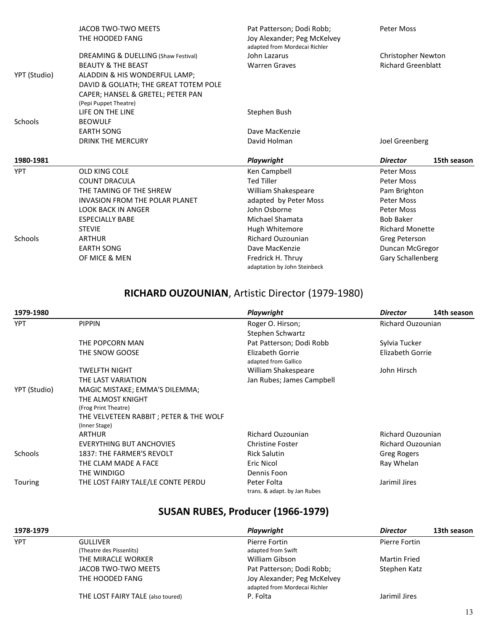|              | JACOB TWO-TWO MEETS<br>THE HOODED FANG                     | Pat Patterson; Dodi Robb;<br>Joy Alexander; Peg McKelvey<br>adapted from Mordecai Richler | <b>Peter Moss</b>              |
|--------------|------------------------------------------------------------|-------------------------------------------------------------------------------------------|--------------------------------|
|              | DREAMING & DUELLING (Shaw Festival)                        | John Lazarus                                                                              | Christopher Newton             |
|              | <b>BEAUTY &amp; THE BEAST</b>                              | <b>Warren Graves</b>                                                                      | <b>Richard Greenblatt</b>      |
| YPT (Studio) | ALADDIN & HIS WONDERFUL LAMP;                              |                                                                                           |                                |
|              | DAVID & GOLIATH; THE GREAT TOTEM POLE                      |                                                                                           |                                |
|              | CAPER; HANSEL & GRETEL; PETER PAN<br>(Pepi Puppet Theatre) |                                                                                           |                                |
|              | LIFE ON THE LINE                                           | Stephen Bush                                                                              |                                |
| Schools      | <b>BEOWULF</b>                                             |                                                                                           |                                |
|              | <b>EARTH SONG</b>                                          | Dave MacKenzie                                                                            |                                |
|              | <b>DRINK THE MERCURY</b>                                   | David Holman                                                                              | Joel Greenberg                 |
| 1980-1981    |                                                            | Playwright                                                                                | 15th season<br><b>Director</b> |
| <b>YPT</b>   | <b>OLD KING COLE</b>                                       | Ken Campbell                                                                              | Peter Moss                     |
|              | <b>COUNT DRACULA</b>                                       | <b>Ted Tiller</b>                                                                         | <b>Peter Moss</b>              |
|              | THE TAMING OF THE SHREW                                    | William Shakespeare                                                                       | Pam Brighton                   |
|              | <b>INVASION FROM THE POLAR PLANET</b>                      | adapted by Peter Moss                                                                     | Peter Moss                     |
|              | <b>LOOK BACK IN ANGER</b>                                  | John Osborne                                                                              | <b>Peter Moss</b>              |
|              | <b>ESPECIALLY BABE</b>                                     | Michael Shamata                                                                           | <b>Bob Baker</b>               |
|              | <b>STEVIE</b>                                              | Hugh Whitemore                                                                            | <b>Richard Monette</b>         |
| Schools      | <b>ARTHUR</b>                                              | <b>Richard Ouzounian</b>                                                                  | Greg Peterson                  |
|              | <b>EARTH SONG</b>                                          | Dave MacKenzie                                                                            | Duncan McGregor                |
|              | OF MICE & MEN                                              | Fredrick H. Thruy<br>adaptation by John Steinbeck                                         | Gary Schallenberg              |

#### RICHARD OUZOUNIAN, Artistic Director (1979-1980)

| 1979-1980      |                                                          | Playwright                                  | <b>Director</b>          | 14th season |
|----------------|----------------------------------------------------------|---------------------------------------------|--------------------------|-------------|
| <b>YPT</b>     | <b>PIPPIN</b>                                            | Roger O. Hirson;<br>Stephen Schwartz        | <b>Richard Ouzounian</b> |             |
|                | THE POPCORN MAN                                          | Pat Patterson; Dodi Robb                    | Sylvia Tucker            |             |
|                | THE SNOW GOOSE                                           | Elizabeth Gorrie<br>adapted from Gallico    | Elizabeth Gorrie         |             |
|                | <b>TWELFTH NIGHT</b>                                     | William Shakespeare                         | John Hirsch              |             |
|                | THE LAST VARIATION                                       | Jan Rubes; James Campbell                   |                          |             |
| YPT (Studio)   | MAGIC MISTAKE; EMMA'S DILEMMA;                           |                                             |                          |             |
|                | THE ALMOST KNIGHT                                        |                                             |                          |             |
|                | (Frog Print Theatre)                                     |                                             |                          |             |
|                | THE VELVETEEN RABBIT ; PETER & THE WOLF<br>(Inner Stage) |                                             |                          |             |
|                | <b>ARTHUR</b>                                            | Richard Ouzounian                           | <b>Richard Ouzounian</b> |             |
|                | EVERYTHING BUT ANCHOVIES                                 | <b>Christine Foster</b>                     | <b>Richard Ouzounian</b> |             |
| <b>Schools</b> | 1837: THE FARMER'S REVOLT                                | <b>Rick Salutin</b>                         | Greg Rogers              |             |
|                | THE CLAM MADE A FACE                                     | Eric Nicol                                  | Ray Whelan               |             |
|                | THE WINDIGO                                              | Dennis Foon                                 |                          |             |
| Touring        | THE LOST FAIRY TALE/LE CONTE PERDU                       | Peter Folta<br>trans. & adapt. by Jan Rubes | Jarimil Jires            |             |

## SUSAN RUBES, Producer (1966-1979)

| 1978-1979  |                                                | Playwright                                                   | <b>Director</b> | 13th season |
|------------|------------------------------------------------|--------------------------------------------------------------|-----------------|-------------|
| <b>YPT</b> | <b>GULLIVER</b>                                | Pierre Fortin                                                | Pierre Fortin   |             |
|            | (Theatre des Pissenlits)<br>THE MIRACLE WORKER | adapted from Swift<br>William Gibson                         | Martin Fried    |             |
|            | JACOB TWO-TWO MEETS                            | Pat Patterson; Dodi Robb;                                    | Stephen Katz    |             |
|            | THE HOODED FANG                                | Joy Alexander; Peg McKelvey<br>adapted from Mordecai Richler |                 |             |
|            | THE LOST FAIRY TALE (also toured)              | P. Folta                                                     | Jarimil Jires   |             |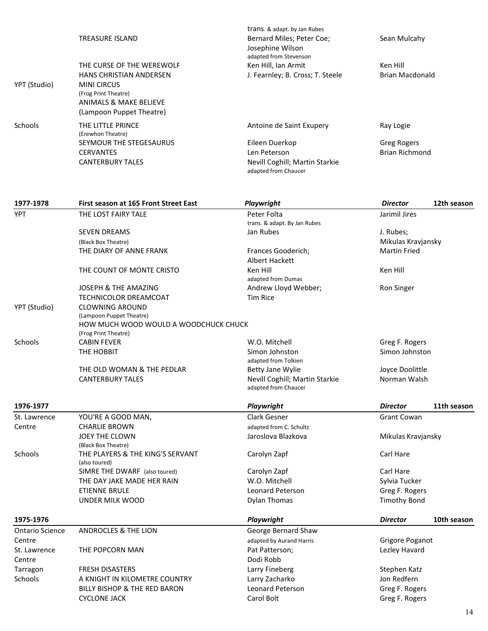|                        | <b>TREASURE ISLAND</b>                                      | trans. & adapt. by Jan Rubes<br>Bernard Miles; Peter Coe; | Sean Mulcahy                                |             |
|------------------------|-------------------------------------------------------------|-----------------------------------------------------------|---------------------------------------------|-------------|
|                        |                                                             | Josephine Wilson                                          |                                             |             |
|                        |                                                             | adapted from Stevenson                                    |                                             |             |
|                        | THE CURSE OF THE WEREWOLF                                   | Ken Hill, Ian Armit                                       | Ken Hill                                    |             |
|                        | HANS CHRISTIAN ANDERSEN<br><b>MINI CIRCUS</b>               | J. Fearnley; B. Cross; T. Steele                          | <b>Brian Macdonald</b>                      |             |
| YPT (Studio)           | (Frog Print Theatre)                                        |                                                           |                                             |             |
|                        | <b>ANIMALS &amp; MAKE BELIEVE</b>                           |                                                           |                                             |             |
|                        | (Lampoon Puppet Theatre)                                    |                                                           |                                             |             |
|                        |                                                             |                                                           |                                             |             |
| Schools                | THE LITTLE PRINCE                                           | Antoine de Saint Exupery                                  | Ray Logie                                   |             |
|                        | (Erewhon Theatre)                                           |                                                           |                                             |             |
|                        | SEYMOUR THE STEGESAURUS<br><b>CERVANTES</b>                 | Eileen Duerkop<br>Len Peterson                            | <b>Greg Rogers</b><br><b>Brian Richmond</b> |             |
|                        | <b>CANTERBURY TALES</b>                                     | Nevill Coghill; Martin Starkie                            |                                             |             |
|                        |                                                             | adapted from Chaucer                                      |                                             |             |
|                        |                                                             |                                                           |                                             |             |
| 1977-1978              | First season at 165 Front Street East                       | Playwright                                                | <b>Director</b>                             | 12th season |
| <b>YPT</b>             | THE LOST FAIRY TALE                                         | Peter Folta                                               | Jarimil Jires                               |             |
|                        |                                                             | trans. & adapt. By Jan Rubes                              |                                             |             |
|                        | <b>SEVEN DREAMS</b>                                         | Jan Rubes                                                 | J. Rubes;                                   |             |
|                        | (Black Box Theatre)                                         |                                                           | Mikulas Kravjansky                          |             |
|                        | THE DIARY OF ANNE FRANK                                     | Frances Gooderich;                                        | <b>Martin Fried</b>                         |             |
|                        |                                                             | <b>Albert Hackett</b>                                     |                                             |             |
|                        | THE COUNT OF MONTE CRISTO                                   | Ken Hill                                                  | Ken Hill                                    |             |
|                        | <b>JOSEPH &amp; THE AMAZING</b>                             | adapted from Dumas<br>Andrew Lloyd Webber;                |                                             |             |
|                        | <b>TECHNICOLOR DREAMCOAT</b>                                | <b>Tim Rice</b>                                           | Ron Singer                                  |             |
| YPT (Studio)           | <b>CLOWNING AROUND</b>                                      |                                                           |                                             |             |
|                        | (Lampoon Puppet Theatre)                                    |                                                           |                                             |             |
|                        | HOW MUCH WOOD WOULD A WOODCHUCK CHUCK                       |                                                           |                                             |             |
|                        | (Frog Print Theatre)                                        |                                                           |                                             |             |
| Schools                | <b>CABIN FEVER</b>                                          | W.O. Mitchell                                             | Greg F. Rogers                              |             |
|                        | THE HOBBIT                                                  | Simon Johnston                                            | Simon Johnston                              |             |
|                        | THE OLD WOMAN & THE PEDLAR                                  | adapted from Tolkien                                      | Joyce Doolittle                             |             |
|                        | <b>CANTERBURY TALES</b>                                     | Betty Jane Wylie<br>Nevill Coghill; Martin Starkie        | Norman Walsh                                |             |
|                        |                                                             | adapted from Chaucer                                      |                                             |             |
| 1976-1977              |                                                             | Playwright                                                | <b>Director</b>                             | 11th season |
| St. Lawrence           | YOU'RE A GOOD MAN,                                          | Clark Gesner                                              | <b>Grant Cowan</b>                          |             |
| Centre                 | <b>CHARLIE BROWN</b>                                        | adapted from C. Schultz                                   |                                             |             |
|                        | JOEY THE CLOWN                                              | Jaroslova Blazkova                                        | Mikulas Kravjansky                          |             |
|                        | (Black Box Theatre)                                         |                                                           |                                             |             |
| Schools                | THE PLAYERS & THE KING'S SERVANT                            | Carolyn Zapf                                              | Carl Hare                                   |             |
|                        | (also toured)                                               |                                                           |                                             |             |
|                        | SIMRE THE DWARF (also toured)<br>THE DAY JAKE MADE HER RAIN | Carolyn Zapf<br>W.O. Mitchell                             | Carl Hare                                   |             |
|                        | <b>ETIENNE BRULE</b>                                        | <b>Leonard Peterson</b>                                   | Sylvia Tucker<br>Greg F. Rogers             |             |
|                        | <b>UNDER MILK WOOD</b>                                      | <b>Dylan Thomas</b>                                       | <b>Timothy Bond</b>                         |             |
|                        |                                                             |                                                           |                                             |             |
| 1975-1976              |                                                             | Playwright                                                | <b>Director</b>                             | 10th season |
| <b>Ontario Science</b> | <b>ANDROCLES &amp; THE LION</b>                             | George Bernard Shaw                                       |                                             |             |
| Centre                 |                                                             | adapted by Aurand Harris                                  | Grigore Poganot                             |             |
| St. Lawrence           | THE POPCORN MAN                                             | Pat Patterson;                                            | Lezley Havard                               |             |
| Centre                 |                                                             | Dodi Robb                                                 |                                             |             |
| Tarragon               | <b>FRESH DISASTERS</b>                                      | Larry Fineberg                                            | Stephen Katz                                |             |
| Schools                | A KNIGHT IN KILOMETRE COUNTRY                               | Larry Zacharko                                            | Jon Redfern                                 |             |
|                        | BILLY BISHOP & THE RED BARON                                | Leonard Peterson                                          | Greg F. Rogers                              |             |
|                        | <b>CYCLONE JACK</b>                                         | Carol Bolt                                                | Greg F. Rogers                              |             |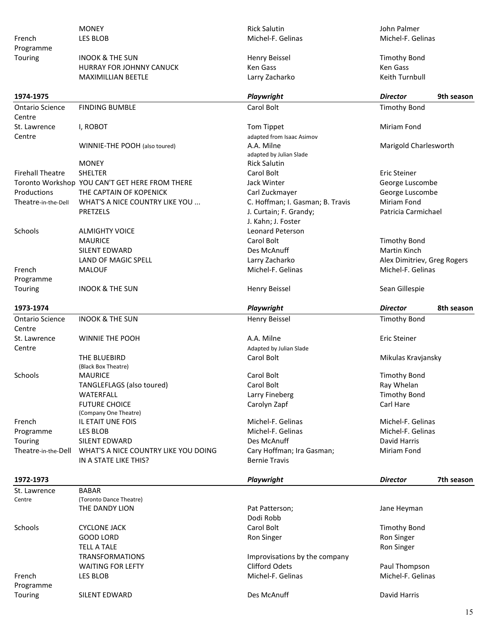| French<br>Programme     | <b>MONEY</b><br>LES BLOB                                                  | <b>Rick Salutin</b><br>Michel-F. Gelinas           | John Palmer<br>Michel-F. Gelinas |
|-------------------------|---------------------------------------------------------------------------|----------------------------------------------------|----------------------------------|
| Touring                 | <b>INOOK &amp; THE SUN</b>                                                | Henry Beissel                                      | <b>Timothy Bond</b>              |
|                         | HURRAY FOR JOHNNY CANUCK                                                  | Ken Gass                                           | Ken Gass                         |
|                         | <b>MAXIMILLIAN BEETLE</b>                                                 | Larry Zacharko                                     | Keith Turnbull                   |
| 1974-1975               |                                                                           | Playwright                                         | 9th season<br><b>Director</b>    |
| <b>Ontario Science</b>  | <b>FINDING BUMBLE</b>                                                     | Carol Bolt                                         | <b>Timothy Bond</b>              |
| Centre                  |                                                                           |                                                    |                                  |
| St. Lawrence            | I, ROBOT                                                                  | Tom Tippet                                         | <b>Miriam Fond</b>               |
| Centre                  |                                                                           | adapted from Isaac Asimov                          |                                  |
|                         | WINNIE-THE POOH (also toured)                                             | A.A. Milne                                         | Marigold Charlesworth            |
|                         |                                                                           | adapted by Julian Slade                            |                                  |
|                         | <b>MONEY</b>                                                              | <b>Rick Salutin</b>                                |                                  |
| <b>Firehall Theatre</b> | <b>SHELTER</b>                                                            | Carol Bolt                                         | Eric Steiner                     |
| Productions             | Toronto Workshop YOU CAN'T GET HERE FROM THERE<br>THE CAPTAIN OF KOPENICK | Jack Winter                                        | George Luscombe                  |
| Theatre-in-the-Dell     | WHAT'S A NICE COUNTRY LIKE YOU                                            | Carl Zuckmayer<br>C. Hoffman; I. Gasman; B. Travis | George Luscombe<br>Miriam Fond   |
|                         | <b>PRETZELS</b>                                                           | J. Curtain; F. Grandy;                             | Patricia Carmichael              |
|                         |                                                                           | J. Kahn; J. Foster                                 |                                  |
| Schools                 | <b>ALMIGHTY VOICE</b>                                                     | Leonard Peterson                                   |                                  |
|                         | <b>MAURICE</b>                                                            | Carol Bolt                                         | <b>Timothy Bond</b>              |
|                         | SILENT EDWARD                                                             | Des McAnuff                                        | Martin Kinch                     |
|                         | LAND OF MAGIC SPELL                                                       | Larry Zacharko                                     | Alex Dimitriev, Greg Rogers      |
| French                  | <b>MALOUF</b>                                                             | Michel-F. Gelinas                                  | Michel-F. Gelinas                |
| Programme               |                                                                           |                                                    |                                  |
| Touring                 | <b>INOOK &amp; THE SUN</b>                                                | Henry Beissel                                      | Sean Gillespie                   |
| 1973-1974               |                                                                           | Playwright                                         | 8th season<br><b>Director</b>    |
| <b>Ontario Science</b>  | <b>INOOK &amp; THE SUN</b>                                                | <b>Henry Beissel</b>                               | <b>Timothy Bond</b>              |
| Centre                  |                                                                           |                                                    |                                  |
| St. Lawrence            |                                                                           |                                                    |                                  |
|                         | WINNIE THE POOH                                                           | A.A. Milne                                         | Eric Steiner                     |
| Centre                  |                                                                           | Adapted by Julian Slade                            |                                  |
|                         | THE BLUEBIRD                                                              | Carol Bolt                                         | Mikulas Kravjansky               |
|                         | (Black Box Theatre)                                                       |                                                    |                                  |
| <b>Schools</b>          | <b>MAURICE</b>                                                            | Carol Bolt                                         | <b>Timothy Bond</b>              |
|                         | TANGLEFLAGS (also toured)                                                 | Carol Bolt                                         | Ray Whelan                       |
|                         | WATERFALL                                                                 | Larry Fineberg                                     | <b>Timothy Bond</b>              |
|                         | <b>FUTURE CHOICE</b>                                                      | Carolyn Zapf                                       | Carl Hare                        |
|                         | (Company One Theatre)                                                     |                                                    |                                  |
| French                  | IL ETAIT UNE FOIS                                                         | Michel-F. Gelinas                                  | Michel-F. Gelinas                |
| Programme               | LES BLOB                                                                  | Michel-F. Gelinas                                  | Michel-F. Gelinas                |
| Touring                 | <b>SILENT EDWARD</b>                                                      | Des McAnuff                                        | David Harris                     |
| Theatre-in-the-Dell     | WHAT'S A NICE COUNTRY LIKE YOU DOING<br>IN A STATE LIKE THIS?             | Cary Hoffman; Ira Gasman;<br><b>Bernie Travis</b>  | Miriam Fond                      |
|                         |                                                                           |                                                    |                                  |
| 1972-1973               |                                                                           | Playwright                                         | 7th season<br><b>Director</b>    |
| St. Lawrence            | <b>BABAR</b>                                                              |                                                    |                                  |
| Centre                  | (Toronto Dance Theatre)                                                   |                                                    |                                  |
|                         | THE DANDY LION                                                            | Pat Patterson;<br>Dodi Robb                        | Jane Heyman                      |
| Schools                 | CYCLONE JACK                                                              | Carol Bolt                                         | <b>Timothy Bond</b>              |
|                         | <b>GOOD LORD</b>                                                          | Ron Singer                                         | Ron Singer                       |
|                         | <b>TELL A TALE</b>                                                        |                                                    | Ron Singer                       |
|                         | <b>TRANSFORMATIONS</b>                                                    | Improvisations by the company                      |                                  |
|                         | <b>WAITING FOR LEFTY</b>                                                  | <b>Clifford Odets</b>                              | Paul Thompson                    |
| French                  | LES BLOB                                                                  | Michel-F. Gelinas                                  | Michel-F. Gelinas                |
| Programme               |                                                                           |                                                    |                                  |